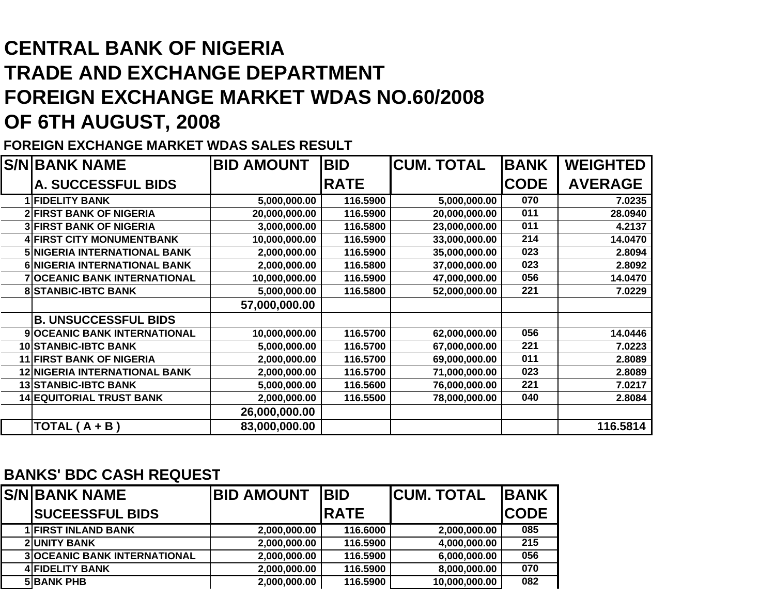## **CENTRAL BANK OF NIGERIATRADE AND EXCHANGE DEPARTMENTFOREIGN EXCHANGE MARKET WDAS NO.60/2008 OF 6TH AUGUST, 2008**

## **FOREIGN EXCHANGE MARKET WDAS SALES RESULT**

| <b>S/N BANK NAME</b>                 | <b>BID AMOUNT</b> | <b>BID</b>  | <b>CUM. TOTAL</b> | <b>BANK</b> | <b>WEIGHTED</b> |
|--------------------------------------|-------------------|-------------|-------------------|-------------|-----------------|
| A. SUCCESSFUL BIDS                   |                   | <b>RATE</b> |                   | <b>CODE</b> | <b>AVERAGE</b>  |
| <b>1 FIDELITY BANK</b>               | 5,000,000.00      | 116.5900    | 5,000,000.00      | 070         | 7.0235          |
| <b>2 FIRST BANK OF NIGERIA</b>       | 20,000,000.00     | 116.5900    | 20,000,000.00     | 011         | 28.0940         |
| <b>3 FIRST BANK OF NIGERIA</b>       | 3,000,000.00      | 116.5800    | 23,000,000.00     | 011         | 4.2137          |
| <b>4 FIRST CITY MONUMENTBANK</b>     | 10,000,000.00     | 116.5900    | 33,000,000.00     | 214         | 14.0470         |
| 5 NIGERIA INTERNATIONAL BANK         | 2,000,000.00      | 116.5900    | 35,000,000.00     | 023         | 2.8094          |
| 6 NIGERIA INTERNATIONAL BANK         | 2,000,000.00      | 116.5800    | 37,000,000.00     | 023         | 2.8092          |
| <b>7 OCEANIC BANK INTERNATIONAL</b>  | 10,000,000.00     | 116.5900    | 47,000,000.00     | 056         | 14.0470         |
| <b>8 STANBIC-IBTC BANK</b>           | 5,000,000.00      | 116.5800    | 52,000,000.00     | 221         | 7.0229          |
|                                      | 57,000,000.00     |             |                   |             |                 |
| <b>B. UNSUCCESSFUL BIDS</b>          |                   |             |                   |             |                 |
| 9 OCEANIC BANK INTERNATIONAL         | 10,000,000.00     | 116.5700    | 62,000,000.00     | 056         | 14.0446         |
| <b>10 STANBIC-IBTC BANK</b>          | 5,000,000.00      | 116.5700    | 67,000,000.00     | 221         | 7.0223          |
| <b>11 FIRST BANK OF NIGERIA</b>      | 2,000,000.00      | 116.5700    | 69,000,000.00     | 011         | 2.8089          |
| <b>12 NIGERIA INTERNATIONAL BANK</b> | 2,000,000.00      | 116.5700    | 71,000,000.00     | 023         | 2.8089          |
| <b>13 STANBIC-IBTC BANK</b>          | 5,000,000.00      | 116.5600    | 76,000,000.00     | 221         | 7.0217          |
| <b>14 EQUITORIAL TRUST BANK</b>      | 2,000,000.00      | 116.5500    | 78,000,000.00     | 040         | 2.8084          |
|                                      | 26,000,000.00     |             |                   |             |                 |
| TOTAL $(A + B)$                      | 83,000,000.00     |             |                   |             | 116.5814        |

## **BANKS' BDC CASH REQUEST**

| <b>S/N BANK NAME</b>                | <b>BID AMOUNT</b> | <b>IBID</b> | <b>ICUM. TOTAL</b> | <b>IBANK</b> |
|-------------------------------------|-------------------|-------------|--------------------|--------------|
| <b>SUCEESSFUL BIDS</b>              |                   | <b>RATE</b> |                    | <b>CODE</b>  |
| <b>1 FIRST INLAND BANK</b>          | 2,000,000.00      | 116.6000    | 2,000,000.00       | 085          |
| <b>2 UNITY BANK</b>                 | 2,000,000.00      | 116.5900    | 4,000,000.00       | 215          |
| <b>3 OCEANIC BANK INTERNATIONAL</b> | 2,000,000.00      | 116.5900    | 6,000,000.00       | 056          |
| <b>4 FIDELITY BANK</b>              | 2,000,000.00      | 116.5900    | 8,000,000.00       | 070          |
| <b>5 BANK PHB</b>                   | 2,000,000.00      | 116.5900    | 10,000,000.00      | 082          |